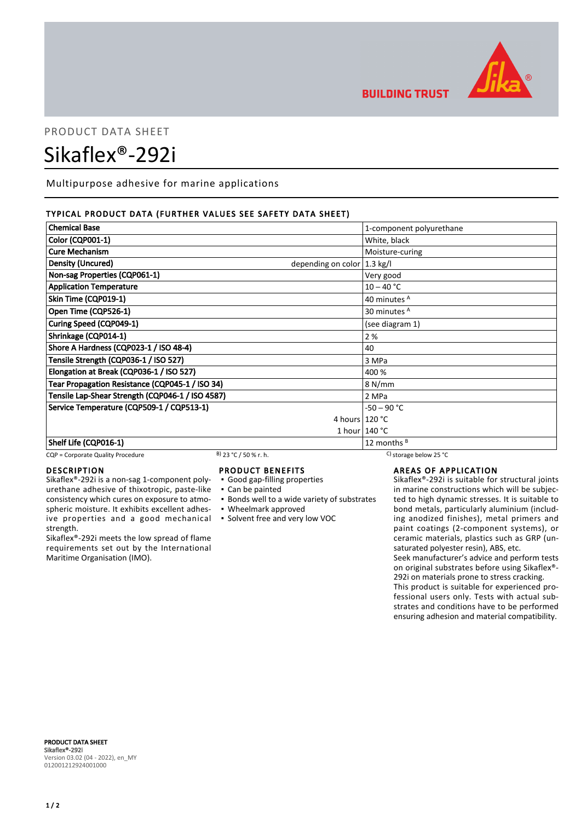

## **BUILDING TRUST**

# PRODUCT DATA SHEET Sikaflex®-292i

Multipurpose adhesive for marine applications

#### TYPICAL PRODUCT DATA (FURTHER VALUES SEE SAFETY DATA SHEET)

| <b>Chemical Base</b>                                               | 1-component polyurethane |
|--------------------------------------------------------------------|--------------------------|
| <b>Color (CQP001-1)</b>                                            | White, black             |
| <b>Cure Mechanism</b>                                              | Moisture-curing          |
| <b>Density (Uncured)</b><br>depending on color $ 1.3 \text{ kg}/I$ |                          |
| Non-sag Properties (CQP061-1)                                      | Very good                |
| <b>Application Temperature</b>                                     | $10 - 40 °C$             |
| Skin Time (CQP019-1)                                               | 40 minutes A             |
| Open Time (CQP526-1)                                               | 30 minutes <sup>A</sup>  |
| Curing Speed (CQP049-1)                                            | (see diagram 1)          |
| Shrinkage (CQP014-1)                                               | 2 %                      |
| Shore A Hardness (CQP023-1 / ISO 48-4)                             | 40                       |
| Tensile Strength (CQP036-1 / ISO 527)                              | 3 MPa                    |
| Elongation at Break (CQP036-1 / ISO 527)                           | 400 %                    |
| Tear Propagation Resistance (CQP045-1 / ISO 34)                    | 8 N/mm                   |
| Tensile Lap-Shear Strength (CQP046-1 / ISO 4587)                   | 2 MPa                    |
| Service Temperature (CQP509-1 / CQP513-1)                          | $-50 - 90 °C$            |
|                                                                    | 4 hours $120 °C$         |
|                                                                    | 1 hour $140 °C$          |
| Shelf Life (CQP016-1)                                              | 12 months $B$            |

#### CQP = Corporate Quality Procedure B) 23 °C / 50 % r. h. C) storage below 25 °C

#### DESCRIPTION

Sikaflex®-292i is a non-sag 1-component polyurethane adhesive of thixotropic, paste-like consistency which cures on exposure to atmospheric moisture. It exhibits excellent adhesive properties and a good mechanical strength.

Sikaflex®-292i meets the low spread of flame requirements set out by the International Maritime Organisation (IMO).

#### PRODUCT BENEFITS

▪ Good gap-filling properties

▪ Can be painted

- **Bonds well to a wide variety of substrates**
- Wheelmark approved
- Solvent free and very low VOC

### AREAS OF APPLICATION

Sikaflex®-292i is suitable for structural joints in marine constructions which will be subjected to high dynamic stresses. It is suitable to bond metals, particularly aluminium (including anodized finishes), metal primers and paint coatings (2-component systems), or ceramic materials, plastics such as GRP (unsaturated polyester resin), ABS, etc.

Seek manufacturer's advice and perform tests on original substrates before using Sikaflex®- 292i on materials prone to stress cracking.

This product is suitable for experienced professional users only. Tests with actual substrates and conditions have to be performed ensuring adhesion and material compatibility.

PRODUCT DATA SHEET Sikaflex®-292i Version 03.02 (04 - 2022), en\_MY 012001212924001000